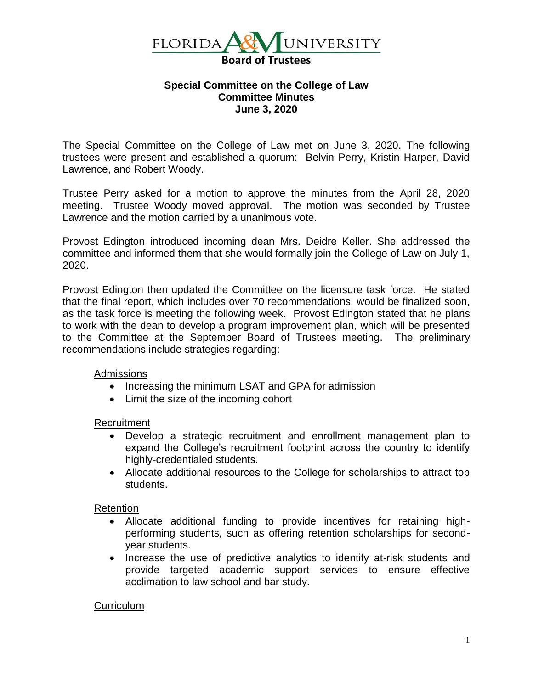

## **Special Committee on the College of Law Committee Minutes June 3, 2020**

The Special Committee on the College of Law met on June 3, 2020. The following trustees were present and established a quorum: Belvin Perry, Kristin Harper, David Lawrence, and Robert Woody.

Trustee Perry asked for a motion to approve the minutes from the April 28, 2020 meeting. Trustee Woody moved approval. The motion was seconded by Trustee Lawrence and the motion carried by a unanimous vote.

Provost Edington introduced incoming dean Mrs. Deidre Keller. She addressed the committee and informed them that she would formally join the College of Law on July 1, 2020.

Provost Edington then updated the Committee on the licensure task force. He stated that the final report, which includes over 70 recommendations, would be finalized soon, as the task force is meeting the following week. Provost Edington stated that he plans to work with the dean to develop a program improvement plan, which will be presented to the Committee at the September Board of Trustees meeting. The preliminary recommendations include strategies regarding:

# Admissions

- Increasing the minimum LSAT and GPA for admission
- Limit the size of the incoming cohort

### Recruitment

- Develop a strategic recruitment and enrollment management plan to expand the College's recruitment footprint across the country to identify highly-credentialed students.
- Allocate additional resources to the College for scholarships to attract top students.

# Retention

- Allocate additional funding to provide incentives for retaining highperforming students, such as offering retention scholarships for secondyear students.
- Increase the use of predictive analytics to identify at-risk students and provide targeted academic support services to ensure effective acclimation to law school and bar study.

# **Curriculum**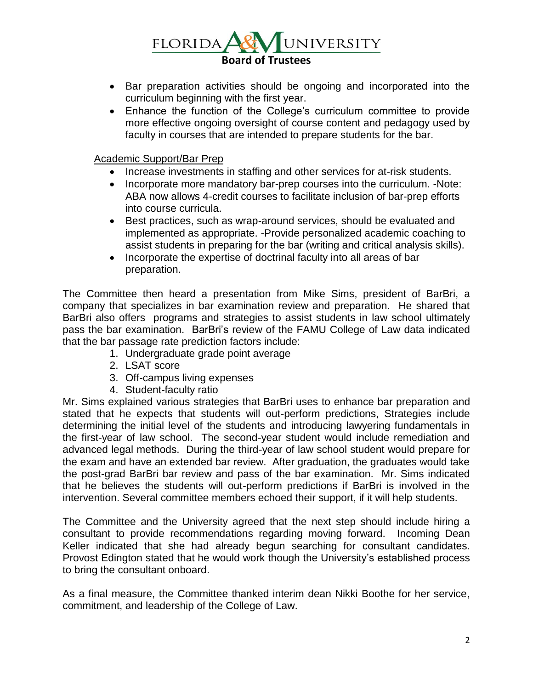UNIVERSITY  $FLORIDA$ **Board of Trustees**

- Bar preparation activities should be ongoing and incorporated into the curriculum beginning with the first year.
- Enhance the function of the College's curriculum committee to provide more effective ongoing oversight of course content and pedagogy used by faculty in courses that are intended to prepare students for the bar.

Academic Support/Bar Prep

- Increase investments in staffing and other services for at-risk students.
- Incorporate more mandatory bar-prep courses into the curriculum. -Note: ABA now allows 4-credit courses to facilitate inclusion of bar-prep efforts into course curricula.
- Best practices, such as wrap-around services, should be evaluated and implemented as appropriate. -Provide personalized academic coaching to assist students in preparing for the bar (writing and critical analysis skills).
- Incorporate the expertise of doctrinal faculty into all areas of bar preparation.

The Committee then heard a presentation from Mike Sims, president of BarBri, a company that specializes in bar examination review and preparation. He shared that BarBri also offers programs and strategies to assist students in law school ultimately pass the bar examination. BarBri's review of the FAMU College of Law data indicated that the bar passage rate prediction factors include:

- 1. Undergraduate grade point average
- 2. LSAT score
- 3. Off-campus living expenses
- 4. Student-faculty ratio

Mr. Sims explained various strategies that BarBri uses to enhance bar preparation and stated that he expects that students will out-perform predictions, Strategies include determining the initial level of the students and introducing lawyering fundamentals in the first-year of law school. The second-year student would include remediation and advanced legal methods. During the third-year of law school student would prepare for the exam and have an extended bar review. After graduation, the graduates would take the post-grad BarBri bar review and pass of the bar examination. Mr. Sims indicated that he believes the students will out-perform predictions if BarBri is involved in the intervention. Several committee members echoed their support, if it will help students.

The Committee and the University agreed that the next step should include hiring a consultant to provide recommendations regarding moving forward. Incoming Dean Keller indicated that she had already begun searching for consultant candidates. Provost Edington stated that he would work though the University's established process to bring the consultant onboard.

As a final measure, the Committee thanked interim dean Nikki Boothe for her service, commitment, and leadership of the College of Law.